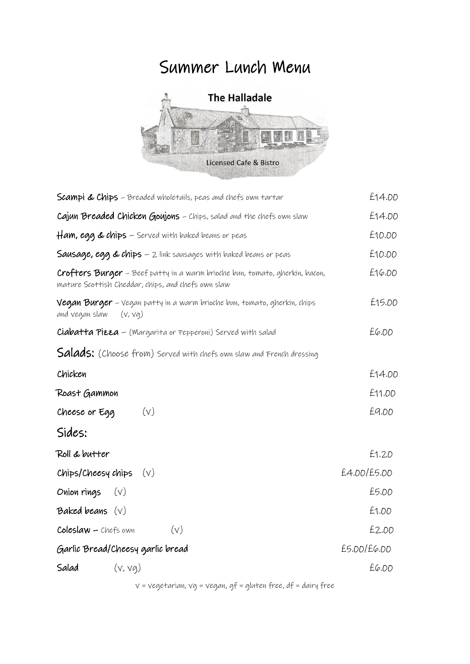## Summer Lunch Menu



| <b>Scampi &amp; Chips</b> - Breaded wholetails, peas and chefs own tartar                                                                | £14.00      |
|------------------------------------------------------------------------------------------------------------------------------------------|-------------|
| Cajun Breaded Chicken Goujons - Chips, salad and the chefs own slaw                                                                      | £14.00      |
| $\#am$ , egg & chips – Served with baked beans or peas                                                                                   | £10.00      |
| <b>Sausage, egg &amp; chips</b> - 2 link sausages with baked beans or peas                                                               | £10.00      |
| <b>Crofters Burger</b> - Beef patty in a warm brioche bun, tomato, gherkin, bacon,<br>mature Scottish Cheddar, chips, and chefs own slaw | £16.00      |
| <b>Vegan Burger</b> – Vegan patty in a warm brioche bun, tomato, gherkin, chips<br>and vegan slaw<br>(v, vq)                             | £15.00      |
| <b>Ciabatta Pieza</b> - (Margarita or Pepperoni) Served with salad                                                                       | E6.00       |
| <b>Salads:</b> (Choose from) Served with chefs own slaw and French dressing                                                              |             |
| Chicken                                                                                                                                  | £14.00      |
| Roast Gammon                                                                                                                             | £11.00      |
| Cheese or Egg<br>(v)                                                                                                                     | £9.00       |
| Sides:                                                                                                                                   |             |
| Roll & butter                                                                                                                            | £1.20       |
| Chips/Cheesy chips<br>$(\vee)$                                                                                                           | £4.00/£5.00 |
| Onion rings<br>$(\vee)$                                                                                                                  | £5.00       |
| Baked beans $(v)$                                                                                                                        | £1.00       |
| $Coleslaw - Chefs own$<br>(v)                                                                                                            | £2.00       |
| Garlic Bread/Cheesy garlic bread                                                                                                         | £5.00/£6.00 |
| Salad<br>(v, vq)                                                                                                                         | £6.00       |
|                                                                                                                                          |             |

v = vegetarian, vg = vegan, gf = gluten free, df = dairy free